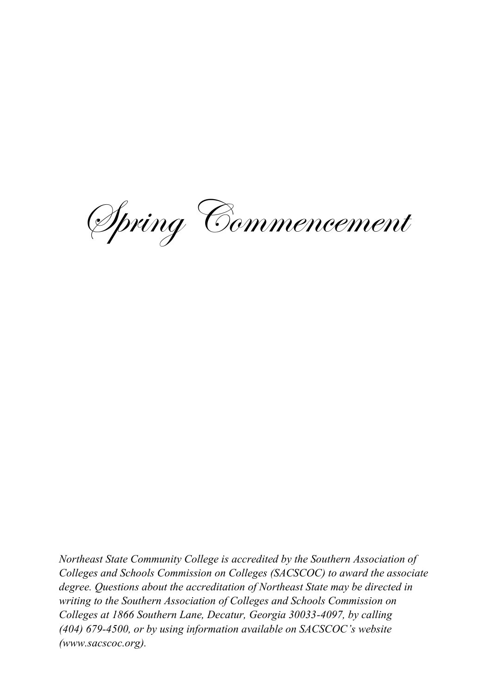Spring Commencement

*Northeast State Community College is accredited by the Southern Association of Colleges and Schools Commission on Colleges (SACSCOC) to award the associate degree. Questions about the accreditation of Northeast State may be directed in writing to the Southern Association of Colleges and Schools Commission on Colleges at 1866 Southern Lane, Decatur, Georgia 30033-4097, by calling (404) 679-4500, or by using information available on SACSCOC's website (www.sacscoc.org).*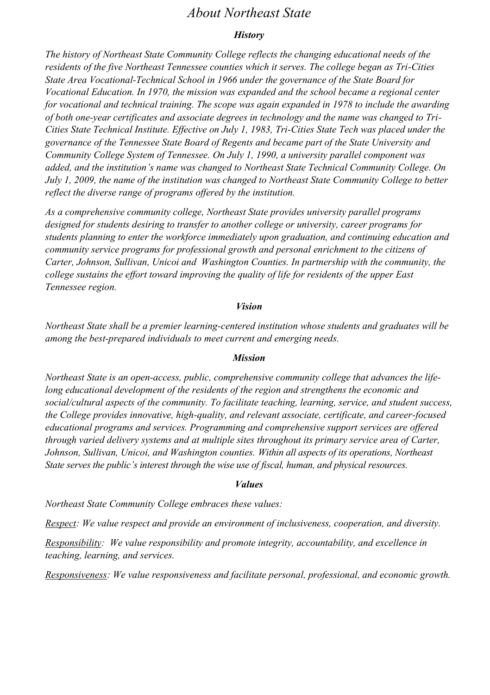### *About Northeast State*

#### *History*

*The history of Northeast State Community College reflects the changing educational needs of the residents of the five Northeast Tennessee counties which it serves. The college began as Tri-Cities State Area Vocational-Technical School in 1966 under the governance of the State Board for Vocational Education. In 1970, the mission was expanded and the school became a regional center for vocational and technical training. The scope was again expanded in 1978 to include the awarding of both one-year certificates and associate degrees in technology and the name was changed to Tri-Cities State Technical Institute. Effective on July 1, 1983, Tri-Cities State Tech was placed under the governance of the Tennessee State Board of Regents and became part of the State University and Community College System of Tennessee. On July 1, 1990, a university parallel component was added, and the institution's name was changed to Northeast State Technical Community College. On July 1, 2009, the name of the institution was changed to Northeast State Community College to better reflect the diverse range of programs offered by the institution.*

*As a comprehensive community college, Northeast State provides university parallel programs designed for students desiring to transfer to another college or university, career programs for students planning to enter the workforce immediately upon graduation, and continuing education and community service programs for professional growth and personal enrichment to the citizens of Carter, Johnson, Sullivan, Unicoi and Washington Counties. In partnership with the community, the college sustains the effort toward improving the quality of life for residents of the upper East Tennessee region.*

#### *Vision*

*Northeast State shall be a premier learning-centered institution whose students and graduates will be among the best-prepared individuals to meet current and emerging needs.*

#### *Mission*

*Northeast State is an open-access, public, comprehensive community college that advances the lifelong educational development of the residents of the region and strengthens the economic and social/cultural aspects of the community. To facilitate teaching, learning, service, and student success, the College provides innovative, high-quality, and relevant associate, certificate, and career-focused educational programs and services. Programming and comprehensive support services are offered through varied delivery systems and at multiple sites throughout its primary service area of Carter, Johnson, Sullivan, Unicoi, and Washington counties. Within all aspects of its operations, Northeast State serves the public's interest through the wise use of fiscal, human, and physical resources.*

#### *Values*

*Northeast State Community College embraces these values:*

*Respect: We value respect and provide an environment of inclusiveness, cooperation, and diversity.*

*Responsibility: We value responsibility and promote integrity, accountability, and excellence in teaching, learning, and services.*

*Responsiveness: We value responsiveness and facilitate personal, professional, and economic growth.*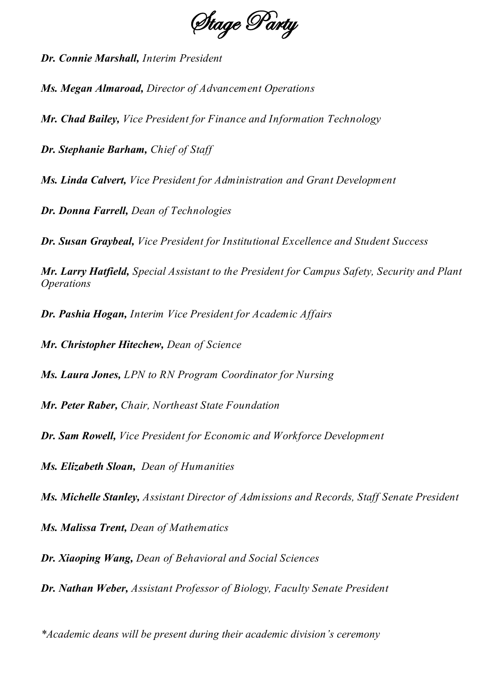Stage Party

*Dr. Connie Marshall, Interim President*

*Ms. Megan Almaroad, Director of Advancement Operations*

*Mr. Chad Bailey, Vice President for Finance and Information Technology*

*Dr. Stephanie Barham, Chief of Staff*

*Ms. Linda Calvert, Vice President for Administration and Grant Development*

*Dr. Donna Farrell, Dean of Technologies*

*Dr. Susan Graybeal, Vice President for Institutional Excellence and Student Success*

*Mr. Larry Hatfield, Special Assistant to the President for Campus Safety, Security and Plant Operations*

*Dr. Pashia Hogan, Interim Vice President for Academic Affairs* 

*Mr. Christopher Hitechew, Dean of Science*

*Ms. Laura Jones, LPN to RN Program Coordinator for Nursing*

*Mr. Peter Raber, Chair, Northeast State Foundation*

*Dr. Sam Rowell, Vice President for Economic and Workforce Development*

*Ms. Elizabeth Sloan, Dean of Humanities*

*Ms. Michelle Stanley, Assistant Director of Admissions and Records, Staff Senate President*

*Ms. Malissa Trent, Dean of Mathematics* 

*Dr. Xiaoping Wang, Dean of Behavioral and Social Sciences*

*Dr. Nathan Weber, Assistant Professor of Biology, Faculty Senate President*

*\*Academic deans will be present during their academic division's ceremony*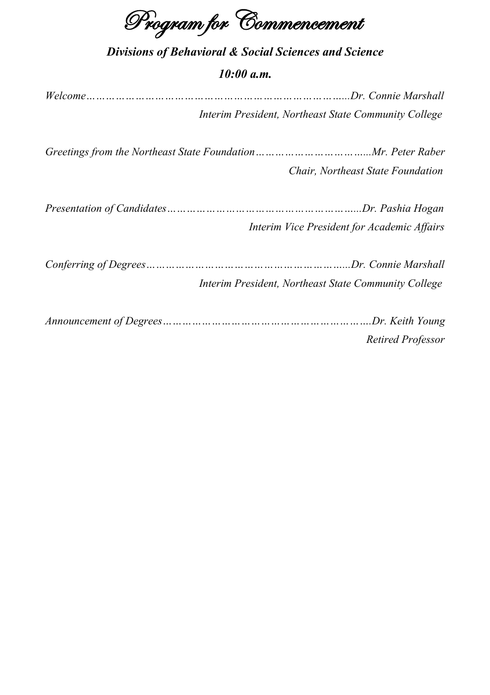Program for Commencement

| <b>Divisions of Behavioral &amp; Social Sciences and Science</b><br>10:00 a.m. |  |  |  |  |
|--------------------------------------------------------------------------------|--|--|--|--|
|                                                                                |  |  |  |  |
| Interim President, Northeast State Community College                           |  |  |  |  |
|                                                                                |  |  |  |  |
| Chair, Northeast State Foundation                                              |  |  |  |  |
|                                                                                |  |  |  |  |
| Interim Vice President for Academic Affairs                                    |  |  |  |  |
|                                                                                |  |  |  |  |
| Interim President, Northeast State Community College                           |  |  |  |  |
|                                                                                |  |  |  |  |
| Retired Professor                                                              |  |  |  |  |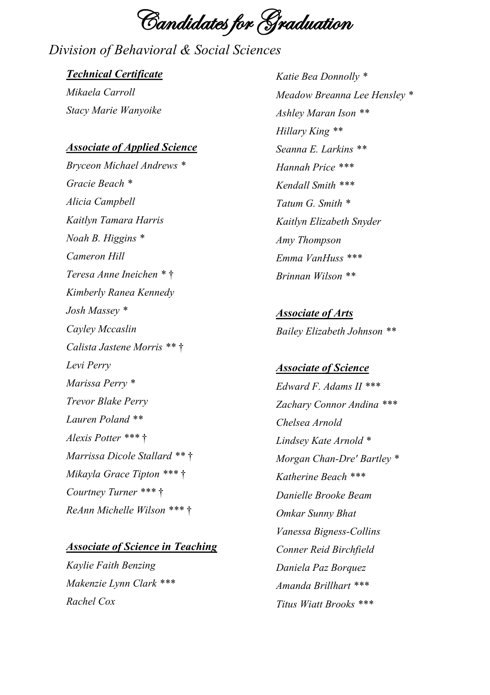Candidates for Graduation

# *Division of Behavioral & Social Sciences*

#### *Technical Certificate*

*Mikaela Carroll Stacy Marie Wanyoike*

#### *Associate of Applied Science*

*Bryceon Michael Andrews \* Gracie Beach \* Alicia Campbell Kaitlyn Tamara Harris Noah B. Higgins \* Cameron Hill Teresa Anne Ineichen \** † *Kimberly Ranea Kennedy Josh Massey \* Cayley Mccaslin Calista Jastene Morris \*\** † *Levi Perry Marissa Perry \* Trevor Blake Perry Lauren Poland \*\* Alexis Potter \*\*\** † *Marrissa Dicole Stallard \*\** † *Mikayla Grace Tipton \*\*\** † *Courtney Turner \*\*\** † *ReAnn Michelle Wilson \*\*\** †

#### *Associate of Science in Teaching*

*Kaylie Faith Benzing Makenzie Lynn Clark \*\*\* Rachel Cox*

*Katie Bea Donnolly \* Meadow Breanna Lee Hensley \* Ashley Maran Ison \*\* Hillary King \*\* Seanna E. Larkins \*\* Hannah Price \*\*\* Kendall Smith \*\*\* Tatum G. Smith \* Kaitlyn Elizabeth Snyder Amy Thompson Emma VanHuss \*\*\* Brinnan Wilson \*\**

*Associate of Arts Bailey Elizabeth Johnson \*\**

*Associate of Science Edward F. Adams II \*\*\* Zachary Connor Andina \*\*\* Chelsea Arnold Lindsey Kate Arnold \* Morgan Chan-Dre' Bartley \* Katherine Beach \*\*\* Danielle Brooke Beam Omkar Sunny Bhat Vanessa Bigness-Collins Conner Reid Birchfield Daniela Paz Borquez Amanda Brillhart \*\*\* Titus Wiatt Brooks \*\*\**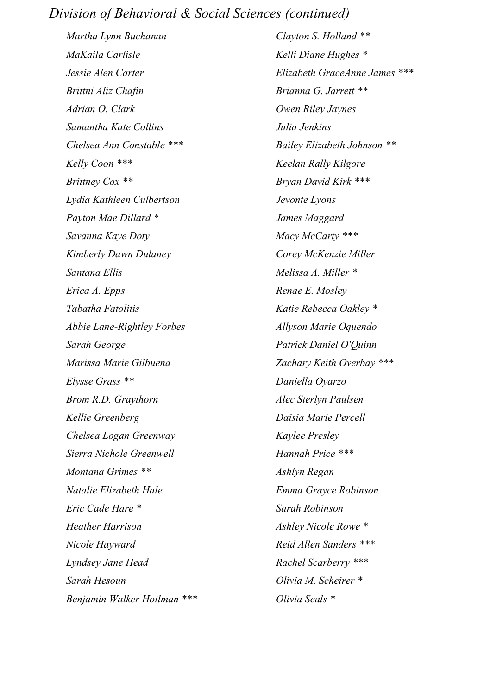### *Division of Behavioral & Social Sciences (continued)*

*Martha Lynn Buchanan MaKaila Carlisle Jessie Alen Carter Brittni Aliz Chafin Adrian O. Clark Samantha Kate Collins Chelsea Ann Constable \*\*\* Kelly Coon \*\*\* Brittney Cox \*\* Lydia Kathleen Culbertson Payton Mae Dillard \* Savanna Kaye Doty Kimberly Dawn Dulaney Santana Ellis Erica A. Epps Tabatha Fatolitis Abbie Lane-Rightley Forbes Sarah George Marissa Marie Gilbuena Elysse Grass \*\* Brom R.D. Graythorn Kellie Greenberg Chelsea Logan Greenway Sierra Nichole Greenwell Montana Grimes \*\* Natalie Elizabeth Hale Eric Cade Hare \* Heather Harrison Nicole Hayward Lyndsey Jane Head Sarah Hesoun Benjamin Walker Hoilman \*\*\**

*Clayton S. Holland \*\* Kelli Diane Hughes \* Elizabeth GraceAnne James \*\*\* Brianna G. Jarrett \*\* Owen Riley Jaynes Julia Jenkins Bailey Elizabeth Johnson \*\* Keelan Rally Kilgore Bryan David Kirk \*\*\* Jevonte Lyons James Maggard Macy McCarty \*\*\* Corey McKenzie Miller Melissa A. Miller \* Renae E. Mosley Katie Rebecca Oakley \* Allyson Marie Oquendo Patrick Daniel O'Quinn Zachary Keith Overbay \*\*\* Daniella Oyarzo Alec Sterlyn Paulsen Daisia Marie Percell Kaylee Presley Hannah Price \*\*\* Ashlyn Regan Emma Grayce Robinson Sarah Robinson Ashley Nicole Rowe \* Reid Allen Sanders \*\*\* Rachel Scarberry \*\*\* Olivia M. Scheirer \* Olivia Seals \**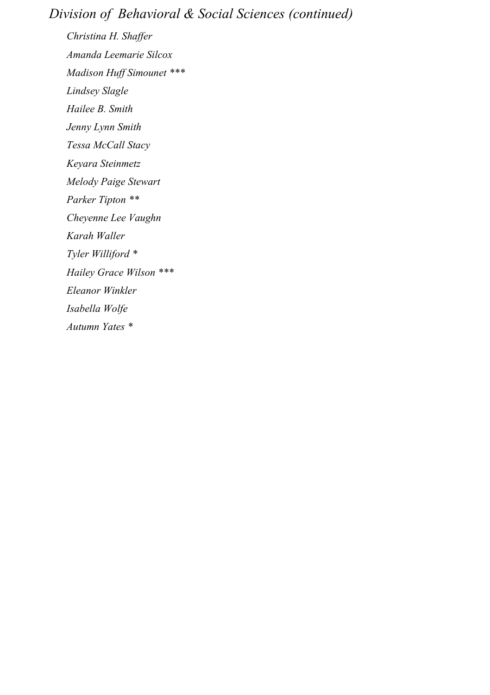# *Division of Behavioral & Social Sciences (continued)*

*Christina H. Shaffer Amanda Leemarie Silcox Madison Huff Simounet \*\*\* Lindsey Slagle Hailee B. Smith Jenny Lynn Smith Tessa McCall Stacy Keyara Steinmetz Melody Paige Stewart Parker Tipton \*\* Cheyenne Lee Vaughn Karah Waller Tyler Williford \* Hailey Grace Wilson \*\*\* Eleanor Winkler Isabella Wolfe Autumn Yates \**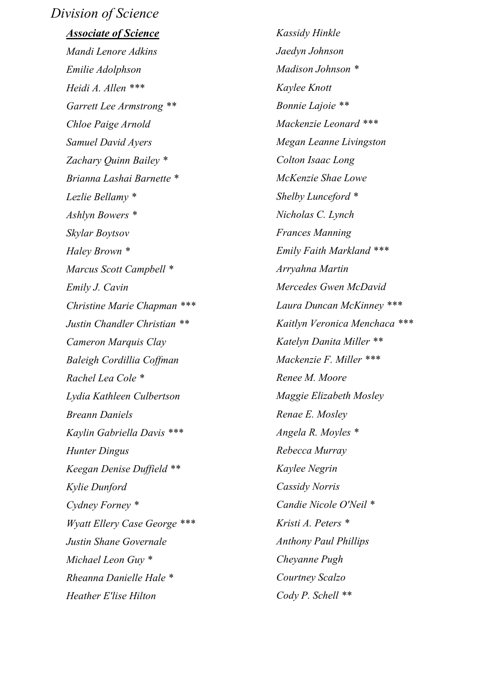#### *Division of Science*

#### *Associate of Science*

*Mandi Lenore Adkins Emilie Adolphson Heidi A. Allen \*\*\* Garrett Lee Armstrong \*\* Chloe Paige Arnold Samuel David Ayers Zachary Quinn Bailey \* Brianna Lashai Barnette \* Lezlie Bellamy \* Ashlyn Bowers \* Skylar Boytsov Haley Brown \* Marcus Scott Campbell \* Emily J. Cavin Christine Marie Chapman \*\*\* Justin Chandler Christian \*\* Cameron Marquis Clay Baleigh Cordillia Coffman Rachel Lea Cole \* Lydia Kathleen Culbertson Breann Daniels Kaylin Gabriella Davis \*\*\* Hunter Dingus Keegan Denise Duffield \*\* Kylie Dunford Cydney Forney \* Wyatt Ellery Case George \*\*\* Justin Shane Governale Michael Leon Guy \* Rheanna Danielle Hale \* Heather E'lise Hilton*

*Kassidy Hinkle Jaedyn Johnson Madison Johnson \* Kaylee Knott Bonnie Lajoie \*\* Mackenzie Leonard \*\*\* Megan Leanne Livingston Colton Isaac Long McKenzie Shae Lowe Shelby Lunceford \* Nicholas C. Lynch Frances Manning Emily Faith Markland \*\*\* Arryahna Martin Mercedes Gwen McDavid Laura Duncan McKinney \*\*\* Kaitlyn Veronica Menchaca \*\*\* Katelyn Danita Miller \*\* Mackenzie F. Miller \*\*\* Renee M. Moore Maggie Elizabeth Mosley Renae E. Mosley Angela R. Moyles \* Rebecca Murray Kaylee Negrin Cassidy Norris Candie Nicole O'Neil \* Kristi A. Peters \* Anthony Paul Phillips Cheyanne Pugh Courtney Scalzo Cody P. Schell \*\**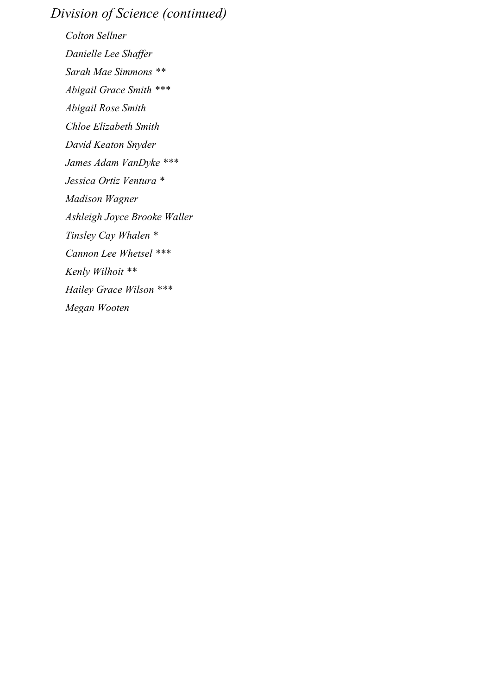# *Division of Science (continued)*

*Colton Sellner Danielle Lee Shaffer Sarah Mae Simmons \*\* Abigail Grace Smith \*\*\* Abigail Rose Smith Chloe Elizabeth Smith David Keaton Snyder James Adam VanDyke \*\*\* Jessica Ortiz Ventura \* Madison Wagner Ashleigh Joyce Brooke Waller Tinsley Cay Whalen \* Cannon Lee Whetsel \*\*\* Kenly Wilhoit \*\* Hailey Grace Wilson \*\*\* Megan Wooten*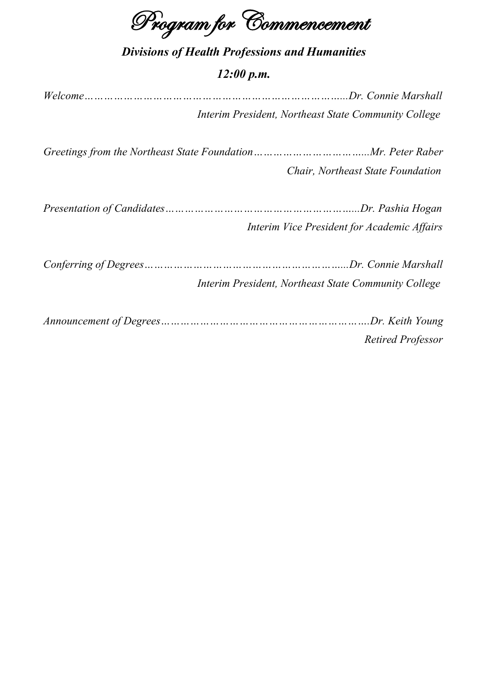Program for Commencement

# *Divisions of Health Professions and Humanities*

#### *12:00 p.m.*

*Welcome……………………………………………………………………...Dr. Connie Marshall Interim President, Northeast State Community College*

*Greetings from the Northeast State Foundation……………………………...Mr. Peter Raber Chair, Northeast State Foundation*

| Interim Vice President for Academic Affairs |
|---------------------------------------------|

*Conferring of Degrees……………………………………………………...Dr. Connie Marshall Interim President, Northeast State Community College*

*Announcement of Degrees……………………………………………………….Dr. Keith Young Retired Professor*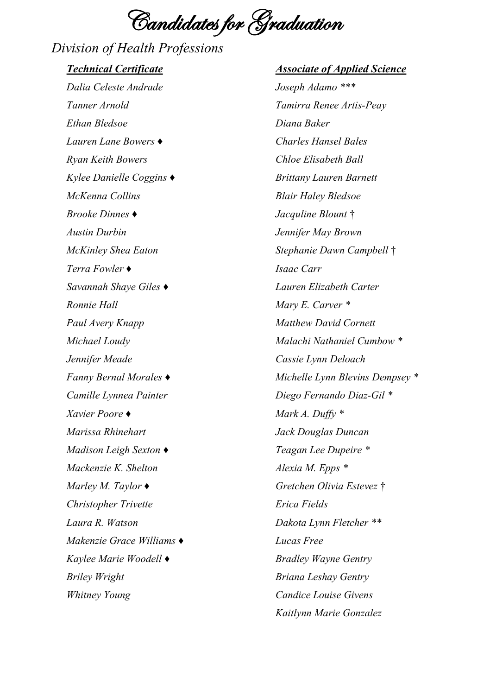Candidates for Graduation

*Division of Health Professions Technical Certificate Dalia Celeste Andrade Tanner Arnold Ethan Bledsoe Lauren Lane Bowers ♦ Ryan Keith Bowers Kylee Danielle Coggins ♦ McKenna Collins Brooke Dinnes ♦ Austin Durbin McKinley Shea Eaton Terra Fowler ♦ Savannah Shaye Giles ♦ Ronnie Hall Paul Avery Knapp Michael Loudy Jennifer Meade Fanny Bernal Morales ♦ Camille Lynnea Painter Xavier Poore ♦ Marissa Rhinehart Madison Leigh Sexton ♦ Mackenzie K. Shelton Marley M. Taylor ♦ Christopher Trivette Laura R. Watson Makenzie Grace Williams ♦ Kaylee Marie Woodell ♦ Briley Wright Whitney Young*

*Associate of Applied Science Joseph Adamo \*\*\* Tamirra Renee Artis-Peay Diana Baker Charles Hansel Bales Chloe Elisabeth Ball Brittany Lauren Barnett Blair Haley Bledsoe Jacquline Blount* † *Jennifer May Brown Stephanie Dawn Campbell* † *Isaac Carr Lauren Elizabeth Carter Mary E. Carver \* Matthew David Cornett Malachi Nathaniel Cumbow \* Cassie Lynn Deloach Michelle Lynn Blevins Dempsey \* Diego Fernando Diaz-Gil \* Mark A. Duffy \* Jack Douglas Duncan Teagan Lee Dupeire \* Alexia M. Epps \* Gretchen Olivia Estevez* † *Erica Fields Dakota Lynn Fletcher \*\* Lucas Free Bradley Wayne Gentry Briana Leshay Gentry Candice Louise Givens Kaitlynn Marie Gonzalez*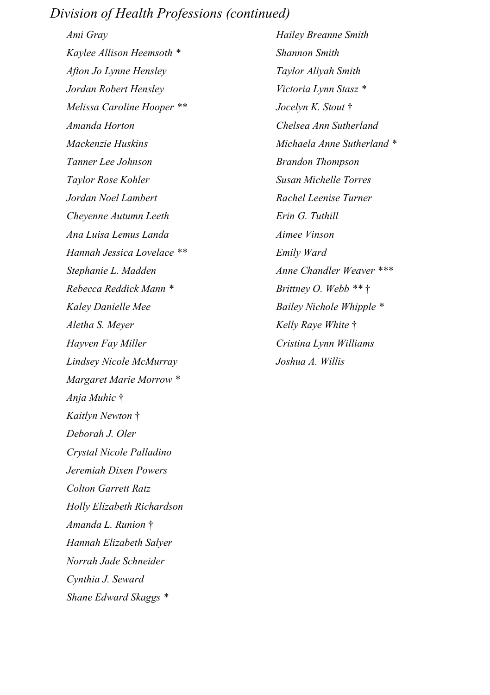### *Division of Health Professions (continued)*

*Ami Gray Kaylee Allison Heemsoth \* Afton Jo Lynne Hensley Jordan Robert Hensley Melissa Caroline Hooper \*\* Amanda Horton Mackenzie Huskins Tanner Lee Johnson Taylor Rose Kohler Jordan Noel Lambert Cheyenne Autumn Leeth Ana Luisa Lemus Landa Hannah Jessica Lovelace \*\* Stephanie L. Madden Rebecca Reddick Mann \* Kaley Danielle Mee Aletha S. Meyer Hayven Fay Miller Lindsey Nicole McMurray Margaret Marie Morrow \* Anja Muhic* † *Kaitlyn Newton* † *Deborah J. Oler Crystal Nicole Palladino Jeremiah Dixen Powers Colton Garrett Ratz Holly Elizabeth Richardson Amanda L. Runion* † *Hannah Elizabeth Salyer Norrah Jade Schneider Cynthia J. Seward Shane Edward Skaggs \**

*Hailey Breanne Smith Shannon Smith Taylor Aliyah Smith Victoria Lynn Stasz \* Jocelyn K. Stout* † *Chelsea Ann Sutherland Michaela Anne Sutherland \* Brandon Thompson Susan Michelle Torres Rachel Leenise Turner Erin G. Tuthill Aimee Vinson Emily Ward Anne Chandler Weaver \*\*\* Brittney O. Webb \*\** † *Bailey Nichole Whipple \* Kelly Raye White* † *Cristina Lynn Williams Joshua A. Willis*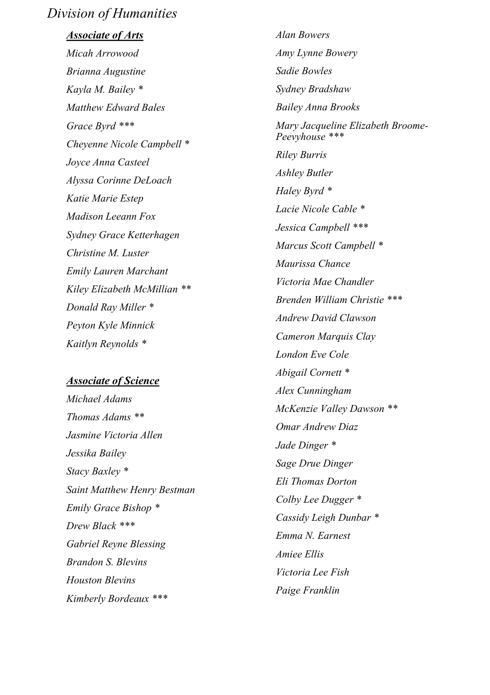### *Division of Humanities*

*Associate of Arts Micah Arrowood Brianna Augustine Kayla M. Bailey \* Matthew Edward Bales Grace Byrd \*\*\* Cheyenne Nicole Campbell \* Joyce Anna Casteel Alyssa Corinne DeLoach Katie Marie Estep Madison Leeann Fox Sydney Grace Ketterhagen Christine M. Luster Emily Lauren Marchant Kiley Elizabeth McMillian \*\* Donald Ray Miller \* Peyton Kyle Minnick*

#### *Associate of Science*

*Kaitlyn Reynolds \**

*Michael Adams Thomas Adams \*\* Jasmine Victoria Allen Jessika Bailey Stacy Baxley \* Saint Matthew Henry Bestman Emily Grace Bishop \* Drew Black \*\*\* Gabriel Reyne Blessing Brandon S. Blevins Houston Blevins Kimberly Bordeaux \*\*\**

*Alan Bowers Amy Lynne Bowery Sadie Bowles Sydney Bradshaw Bailey Anna Brooks Mary Jacqueline Elizabeth Broome - Peevyhouse \*\*\* Riley Burris Ashley Butler Haley Byrd \* Lacie Nicole Cable \* Jessica Campbell \*\*\* Marcus Scott Campbell \* Maurissa Chance Victoria Mae Chandler Brenden William Christie \*\*\* Andrew David Clawson Cameron Marquis Clay London Eve Cole Abigail Cornett \* Alex Cunningham McKenzie Valley Dawson \*\* Omar Andrew Diaz Jade Dinger \* Sage Drue Dinger Eli Thomas Dorton Colby Lee Dugger \* Cassidy Leigh Dunbar \* Emma N. Earnest Amiee Ellis Victoria Lee Fish Paige Franklin*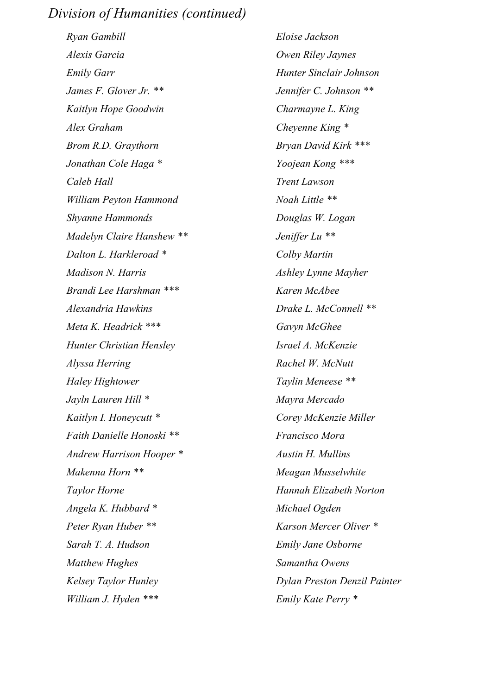### *Division of Humanities (continued)*

*Ryan Gambill Alexis Garcia Emily Garr James F. Glover Jr. \*\* Kaitlyn Hope Goodwin Alex Graham Brom R.D. Graythorn Jonathan Cole Haga \* Caleb Hall William Peyton Hammond Shyanne Hammonds Madelyn Claire Hanshew \*\* Dalton L. Harkleroad \* Madison N. Harris Brandi Lee Harshman \*\*\* Alexandria Hawkins Meta K. Headrick \*\*\* Hunter Christian Hensley Alyssa Herring Haley Hightower Jayln Lauren Hill \* Kaitlyn I. Honeycutt \* Faith Danielle Honoski \*\* Andrew Harrison Hooper \* Makenna Horn \*\* Taylor Horne Angela K. Hubbard \* Peter Ryan Huber \*\* Sarah T. A. Hudson Matthew Hughes Kelsey Taylor Hunley William J. Hyden \*\*\**

*Eloise Jackson Owen Riley Jaynes Hunter Sinclair Johnson Jennifer C. Johnson \*\* Charmayne L. King Cheyenne King \* Bryan David Kirk \*\*\* Yoojean Kong \*\*\* Trent Lawson Noah Little \*\* Douglas W. Logan Jeniffer Lu \*\* Colby Martin Ashley Lynne Mayher Karen McAbee Drake L. McConnell \*\* Gavyn McGhee Israel A. McKenzie Rachel W. McNutt Taylin Meneese \*\* Mayra Mercado Corey McKenzie Miller Francisco Mora Austin H. Mullins Meagan Musselwhite Hannah Elizabeth Norton Michael Ogden Karson Mercer Oliver \* Emily Jane Osborne Samantha Owens Dylan Preston Denzil Painter Emily Kate Perry \**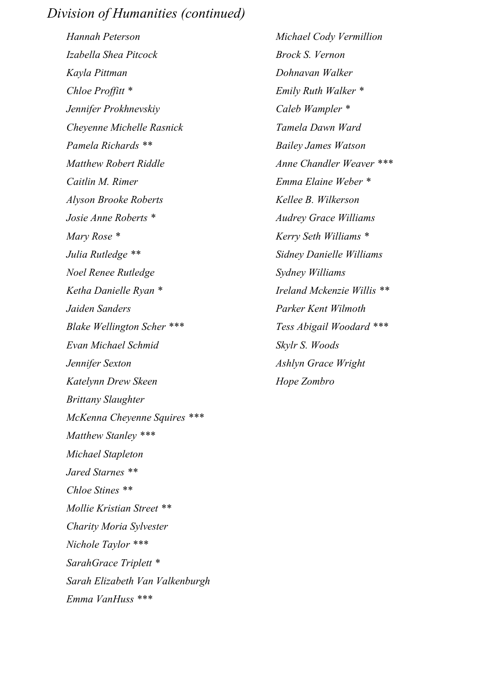### *Division of Humanities (continued)*

*Hannah Peterson Izabella Shea Pitcock Kayla Pittman Chloe Proffitt \* Jennifer Prokhnevskiy Cheyenne Michelle Rasnick Pamela Richards \*\* Matthew Robert Riddle Caitlin M. Rimer Alyson Brooke Roberts Josie Anne Roberts \* Mary Rose \* Julia Rutledge \*\* Noel Renee Rutledge Ketha Danielle Ryan \* Jaiden Sanders Blake Wellington Scher \*\*\* Evan Michael Schmid Jennifer Sexton Katelynn Drew Skeen Brittany Slaughter McKenna Cheyenne Squires \*\*\* Matthew Stanley \*\*\* Michael Stapleton Jared Starnes \*\* Chloe Stines \*\* Mollie Kristian Street \*\* Charity Moria Sylvester Nichole Taylor \*\*\* SarahGrace Triplett \* Sarah Elizabeth Van Valkenburgh Emma VanHuss \*\*\**

*Michael Cody Vermillion Brock S. Vernon Dohnavan Walker Emily Ruth Walker \* Caleb Wampler \* Tamela Dawn Ward Bailey James Watson Anne Chandler Weaver \*\*\* Emma Elaine Weber \* Kellee B. Wilkerson Audrey Grace Williams Kerry Seth Williams \* Sidney Danielle Williams Sydney Williams Ireland Mckenzie Willis \*\* Parker Kent Wilmoth Tess Abigail Woodard \*\*\* Skylr S. Woods Ashlyn Grace Wright Hope Zombro*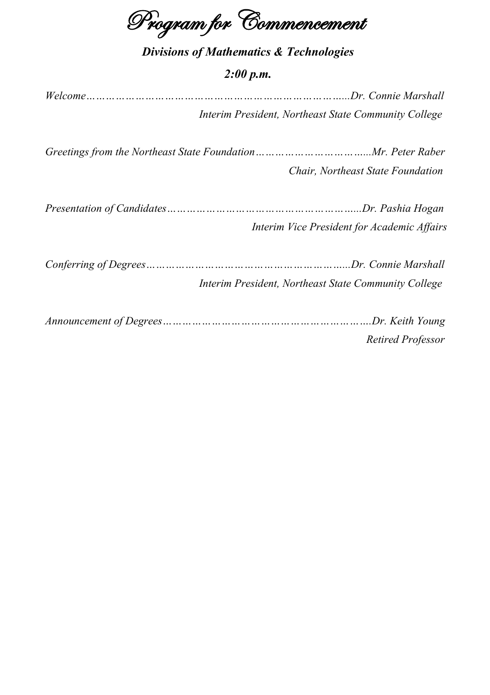Program for Commencement

|  |  |  |  | <b>Divisions of Mathematics &amp; Technologies</b> |
|--|--|--|--|----------------------------------------------------|
|--|--|--|--|----------------------------------------------------|

#### *2:00 p.m.*

*Welcome……………………………………………………………………...Dr. Connie Marshall Interim President, Northeast State Community College*

*Greetings from the Northeast State Foundation……………………………...Mr. Peter Raber Chair, Northeast State Foundation*

| Interim Vice President for Academic Affairs |
|---------------------------------------------|

*Conferring of Degrees……………………………………………………...Dr. Connie Marshall Interim President, Northeast State Community College*

*Announcement of Degrees……………………………………………………….Dr. Keith Young Retired Professor*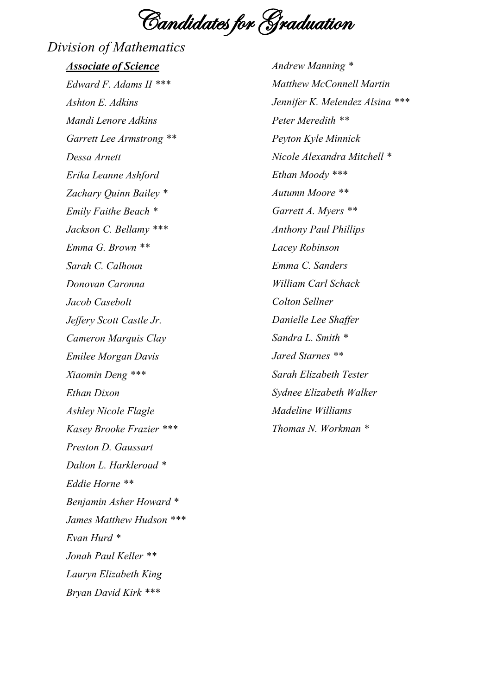Candidates for Graduation

# *Division of Mathematics*

*Associate of Science Edward F. Adams II \*\*\* Ashton E. Adkins Mandi Lenore Adkins Garrett Lee Armstrong \*\* Dessa Arnett Erika Leanne Ashford Zachary Quinn Bailey \* Emily Faithe Beach \* Jackson C. Bellamy \*\*\* Emma G. Brown \*\* Sarah C. Calhoun Donovan Caronna Jacob Casebolt Jeffery Scott Castle Jr. Cameron Marquis Clay Emilee Morgan Davis Xiaomin Deng \*\*\* Ethan Dixon Ashley Nicole Flagle Kasey Brooke Frazier \*\*\* Preston D. Gaussart Dalton L. Harkleroad \* Eddie Horne \*\* Benjamin Asher Howard \* James Matthew Hudson \*\*\* Evan Hurd \* Jonah Paul Keller \*\* Lauryn Elizabeth King Bryan David Kirk \*\*\**

*Andrew Manning \* Matthew McConnell Martin Jennifer K. Melendez Alsina \*\*\* Peter Meredith \*\* Peyton Kyle Minnick Nicole Alexandra Mitchell \* Ethan Moody \*\*\* Autumn Moore \*\* Garrett A. Myers \*\* Anthony Paul Phillips Lacey Robinson Emma C. Sanders William Carl Schack Colton Sellner Danielle Lee Shaffer Sandra L. Smith \* Jared Starnes \*\* Sarah Elizabeth Tester Sydnee Elizabeth Walker Madeline Williams Thomas N. Workman \**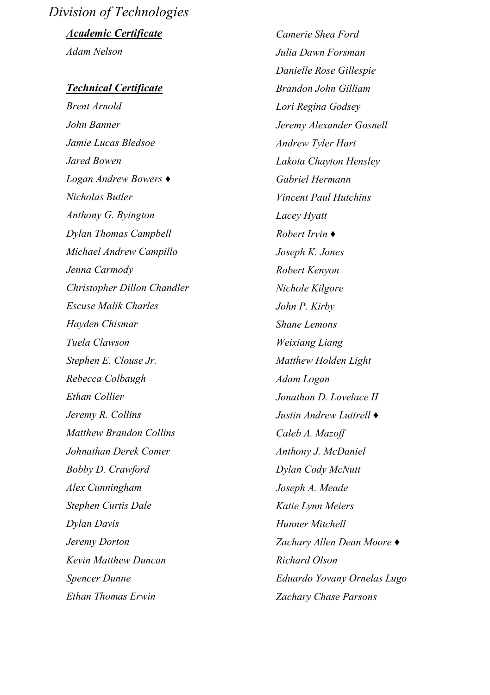# *Division of Technologies*

*Academic Certificate Adam Nelson*

#### *Technical Certificate*

*Brent Arnold John Banner Jamie Lucas Bledsoe Jared Bowen Logan Andrew Bowers ♦ Nicholas Butler Anthony G. Byington Dylan Thomas Campbell Michael Andrew Campillo Jenna Carmody Christopher Dillon Chandler Escuse Malik Charles Hayden Chismar Tuela Clawson Stephen E. Clouse Jr. Rebecca Colbaugh Ethan Collier Jeremy R. Collins Matthew Brandon Collins Johnathan Derek Comer Bobby D. Crawford Alex Cunningham Stephen Curtis Dale Dylan Davis Jeremy Dorton Kevin Matthew Duncan Spencer Dunne Ethan Thomas Erwin*

*Camerie Shea Ford Julia Dawn Forsman Danielle Rose Gillespie Brandon John Gilliam Lori Regina Godsey Jeremy Alexander Gosnell Andrew Tyler Hart Lakota Chayton Hensley Gabriel Hermann Vincent Paul Hutchins Lacey Hyatt Robert Irvin ♦ Joseph K. Jones Robert Kenyon Nichole Kilgore John P. Kirby Shane Lemons Weixiang Liang Matthew Holden Light Adam Logan Jonathan D. Lovelace II Justin Andrew Luttrell ♦ Caleb A. Mazoff Anthony J. McDaniel Dylan Cody McNutt Joseph A. Meade Katie Lynn Meiers Hunner Mitchell Zachary Allen Dean Moore ♦ Richard Olson Eduardo Yovany Ornelas Lugo Zachary Chase Parsons*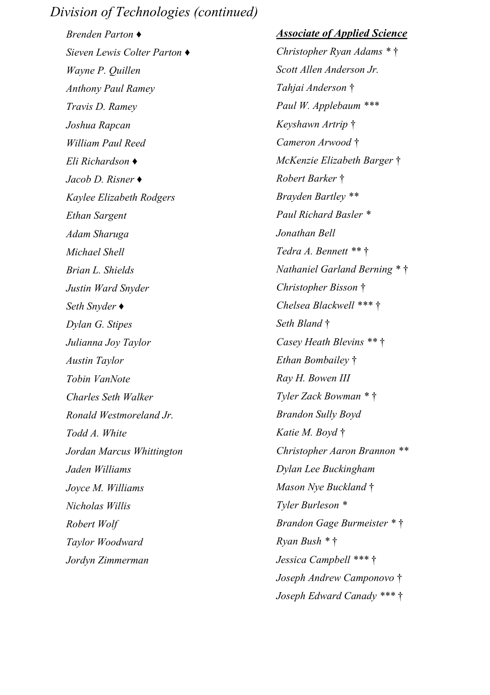*Brenden Parton ♦ Sieven Lewis Colter Parton ♦ Wayne P. Quillen Anthony Paul Ramey Travis D. Ramey Joshua Rapcan William Paul Reed Eli Richardson ♦ Jacob D. Risner ♦ Kaylee Elizabeth Rodgers Ethan Sargent Adam Sharuga Michael Shell Brian L. Shields Justin Ward Snyder Seth Snyder ♦ Dylan G. Stipes Julianna Joy Taylor Austin Taylor Tobin VanNote Charles Seth Walker Ronald Westmoreland Jr. Todd A. White Jordan Marcus Whittington Jaden Williams Joyce M. Williams Nicholas Willis Robert Wolf Taylor Woodward Jordyn Zimmerman*

#### *Associate of Applied Science*

*Christopher Ryan Adams \** † *Scott Allen Anderson Jr. Tahjai Anderson* † *Paul W. Applebaum \*\*\* Keyshawn Artrip* † *Cameron Arwood* † *McKenzie Elizabeth Barger* † *Robert Barker* † *Brayden Bartley \*\* Paul Richard Basler \* Jonathan Bell Tedra A. Bennett \*\** † *Nathaniel Garland Berning \** † *Christopher Bisson* † *Chelsea Blackwell \*\*\** † *Seth Bland* † *Casey Heath Blevins \*\** † *Ethan Bombailey* † *Ray H. Bowen III Tyler Zack Bowman \** † *Brandon Sully Boyd Katie M. Boyd* † *Christopher Aaron Brannon \*\* Dylan Lee Buckingham Mason Nye Buckland* † *Tyler Burleson \* Brandon Gage Burmeister \** † *Ryan Bush \** † *Jessica Campbell \*\*\** † *Joseph Andrew Camponovo* † *Joseph Edward Canady \*\*\** †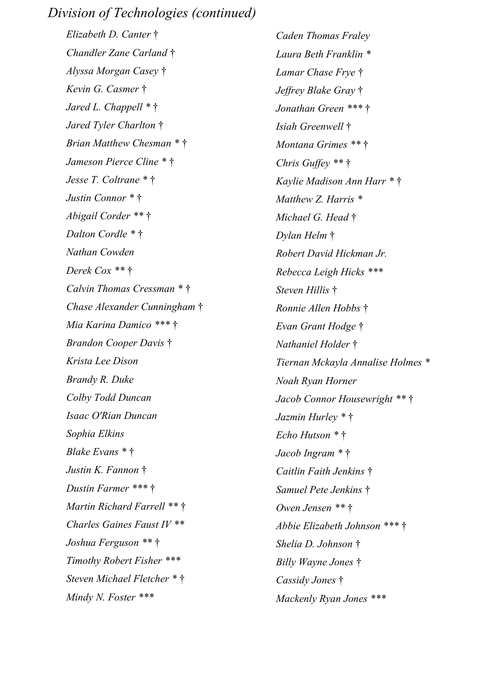*Elizabeth D. Canter* † *Chandler Zane Carland* † *Alyssa Morgan Casey* † *Kevin G. Casmer* † *Jared L. Chappell \** † *Jared Tyler Charlton* † *Brian Matthew Chesman \** † *Jameson Pierce Cline \** † *Jesse T. Coltrane \** † *Justin Connor \** † *Abigail Corder \*\** † *Dalton Cordle \** † *Nathan Cowden Derek Cox \*\** † *Calvin Thomas Cressman \** † *Chase Alexander Cunningham* † *Mia Karina Damico \*\*\** † *Brandon Cooper Davis* † *Krista Lee Dison Brandy R. Duke Colby Todd Duncan Isaac O'Rian Duncan Sophia Elkins Blake Evans \** † *Justin K. Fannon* † *Dustin Farmer \*\*\** † *Martin Richard Farrell \*\** † *Charles Gaines Faust IV \*\* Joshua Ferguson \*\** † *Timothy Robert Fisher \*\*\* Steven Michael Fletcher \** † *Mindy N. Foster \*\*\**

*Caden Thomas Fraley Laura Beth Franklin \* Lamar Chase Frye* † *Jeffrey Blake Gray* † *Jonathan Green \*\*\** † *Isiah Greenwell* † *Montana Grimes \*\** † *Chris Guffey \*\** † *Kaylie Madison Ann Harr \** † *Matthew Z. Harris \* Michael G. Head* † *Dylan Helm* † *Robert David Hickman Jr. Rebecca Leigh Hicks \*\*\* Steven Hillis* † *Ronnie Allen Hobbs* † *Evan Grant Hodge* † *Nathaniel Holder* † *Tiernan Mckayla Annalise Holmes \* Noah Ryan Horner Jacob Connor Housewright \*\** † *Jazmin Hurley \** † *Echo Hutson \** † *Jacob Ingram \** † *Caitlin Faith Jenkins* † *Samuel Pete Jenkins* † *Owen Jensen \*\** † *Abbie Elizabeth Johnson \*\*\** † *Shelia D. Johnson* † *Billy Wayne Jones* † *Cassidy Jones* † *Mackenly Ryan Jones \*\*\**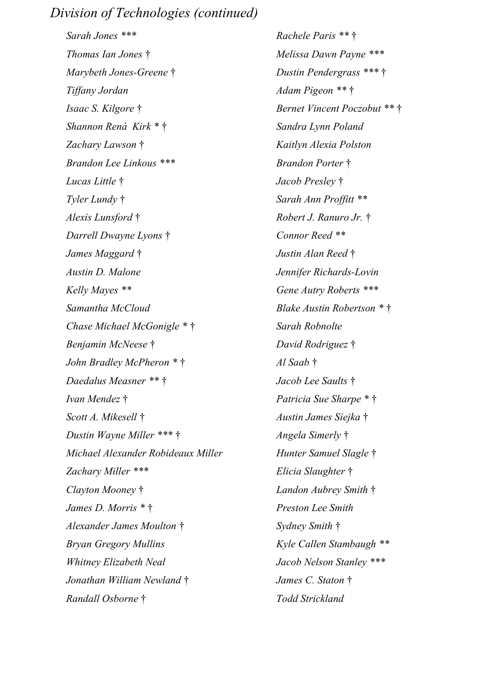*Sarah Jones \*\*\* Thomas Ian Jones* † *Marybeth Jones-Greene* † *Tiffany Jordan Isaac S. Kilgore* † *Shannon Renà Kirk \** † *Zachary Lawson* † *Brandon Lee Linkous \*\*\* Lucas Little* † *Tyler Lundy* † *Alexis Lunsford* † *Darrell Dwayne Lyons* † *James Maggard* † *Austin D. Malone Kelly Mayes \*\* Samantha McCloud Chase Michael McGonigle \** † *Benjamin McNeese* † *John Bradley McPheron \** † *Daedalus Measner \*\** † *Ivan Mendez* † *Scott A. Mikesell* † *Dustin Wayne Miller \*\*\** † *Michael Alexander Robideaux Miller Zachary Miller \*\*\* Clayton Mooney* † *James D. Morris \** † *Alexander James Moulton* † *Bryan Gregory Mullins Whitney Elizabeth Neal Jonathan William Newland* † *Randall Osborne* †

*Rachele Paris \*\** † *Melissa Dawn Payne \*\*\* Dustin Pendergrass \*\*\** † *Adam Pigeon \*\** † *Bernet Vincent Poczobut \*\** † *Sandra Lynn Poland Kaitlyn Alexia Polston Brandon Porter* † *Jacob Presley* † *Sarah Ann Proffitt \*\* Robert J. Ranuro Jr.* † *Connor Reed \*\* Justin Alan Reed* † *Jennifer Richards-Lovin Gene Autry Roberts \*\*\* Blake Austin Robertson \** † *Sarah Robnolte David Rodriguez* † *Al Saab* † *Jacob Lee Saults* † *Patricia Sue Sharpe \** † *Austin James Siejka* † *Angela Simerly* † *Hunter Samuel Slagle* † *Elicia Slaughter* † *Landon Aubrey Smith* † *Preston Lee Smith Sydney Smith* † *Kyle Callen Stambaugh \*\* Jacob Nelson Stanley \*\*\* James C. Staton* † *Todd Strickland*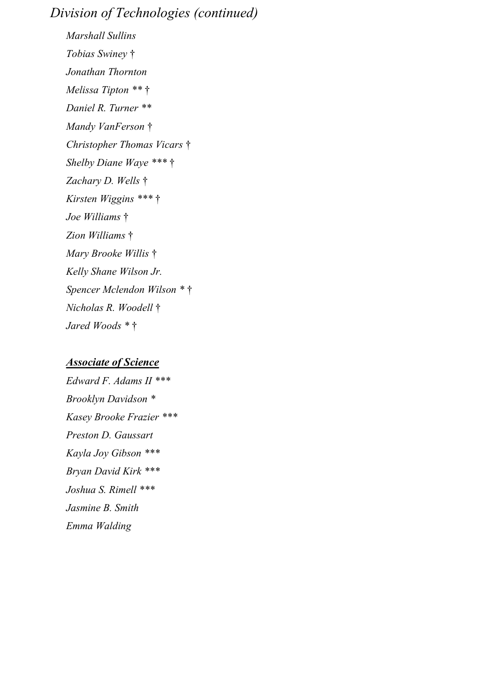*Marshall Sullins Tobias Swiney* † *Jonathan Thornton Melissa Tipton \*\** † *Daniel R. Turner \*\* Mandy VanFerson* † *Christopher Thomas Vicars* † *Shelby Diane Waye \*\*\** † *Zachary D. Wells* † *Kirsten Wiggins \*\*\** † *Joe Williams* † *Zion Williams* † *Mary Brooke Willis* † *Kelly Shane Wilson Jr. Spencer Mclendon Wilson \** † *Nicholas R. Woodell* † *Jared Woods \** †

#### *Associate of Science*

*Edward F. Adams II \*\*\* Brooklyn Davidson \* Kasey Brooke Frazier \*\*\* Preston D. Gaussart Kayla Joy Gibson \*\*\* Bryan David Kirk \*\*\* Joshua S. Rimell \*\*\* Jasmine B. Smith Emma Walding*